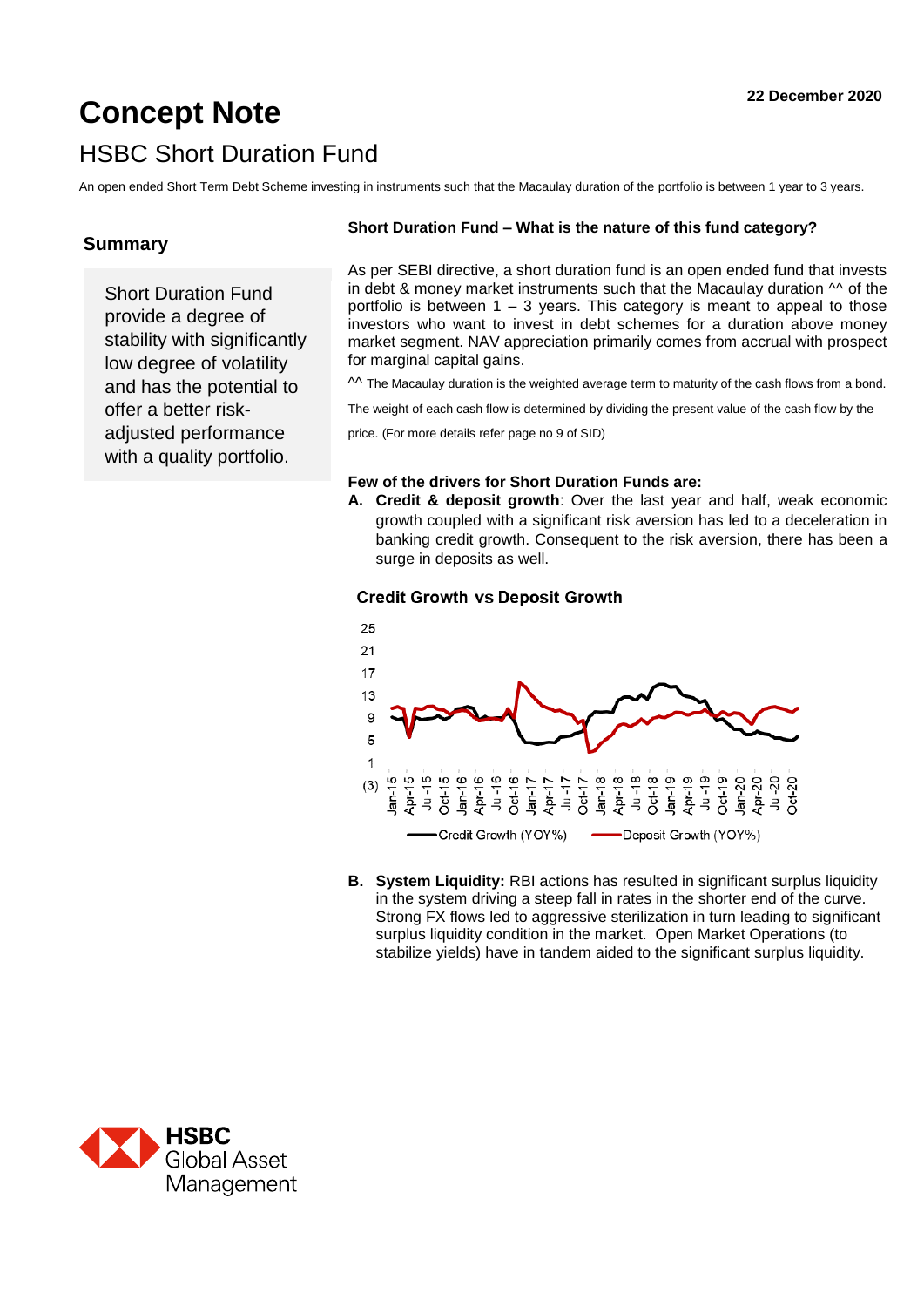# **Concept Note 2020 22 December 2020** HSBC Short Duration Fund

An open ended Short Term Debt Scheme investing in instruments such that the Macaulay duration of the portfolio is between 1 year to 3 years.

# **Summary**

Short Duration Fund provide a degree of stability with significantly low degree of volatility and has the potential to offer a better riskadjusted performance with a quality portfolio.

# **Short Duration Fund – What is the nature of this fund category?**

As per SEBI directive, a short duration fund is an open ended fund that invests in debt & money market instruments such that the Macaulay duration  $\sim$  of the portfolio is between  $1 - 3$  years. This category is meant to appeal to those investors who want to invest in debt schemes for a duration above money market segment. NAV appreciation primarily comes from accrual with prospect for marginal capital gains.

 $\sim$  The Macaulay duration is the weighted average term to maturity of the cash flows from a bond.

The weight of each cash flow is determined by dividing the present value of the cash flow by the

price. (For more details refer page no 9 of SID)

#### **Few of the drivers for Short Duration Funds are:**

**A. Credit & deposit growth**: Over the last year and half, weak economic growth coupled with a significant risk aversion has led to a deceleration in banking credit growth. Consequent to the risk aversion, there has been a surge in deposits as well.

## **Credit Growth vs Deposit Growth**



**B. System Liquidity:** RBI actions has resulted in significant surplus liquidity in the system driving a steep fall in rates in the shorter end of the curve. Strong FX flows led to aggressive sterilization in turn leading to significant surplus liquidity condition in the market. Open Market Operations (to stabilize yields) have in tandem aided to the significant surplus liquidity.

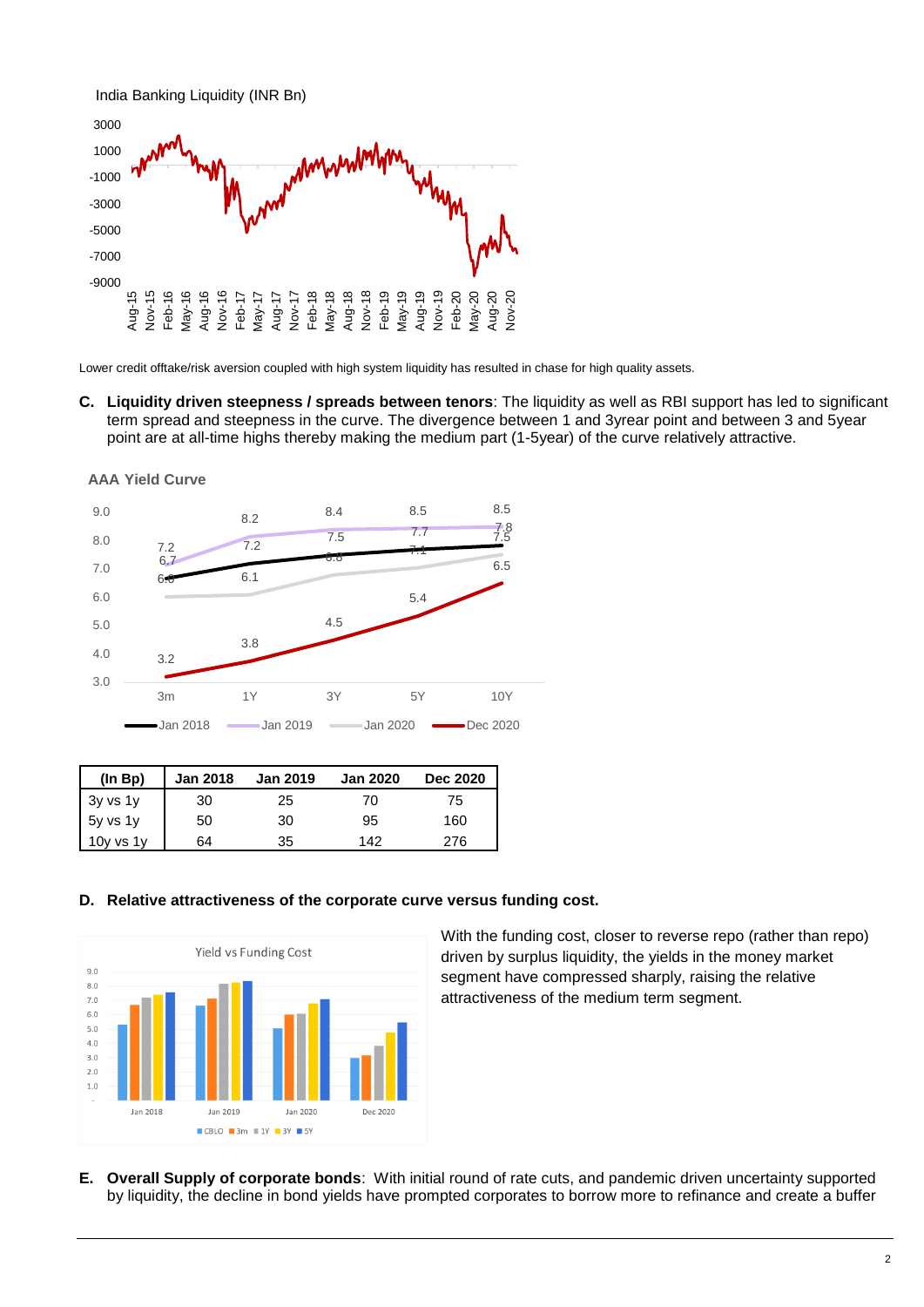

Lower credit offtake/risk aversion coupled with high system liquidity has resulted in chase for high quality assets.

**C. Liquidity driven steepness / spreads between tenors**: The liquidity as well as RBI support has led to significant term spread and steepness in the curve. The divergence between 1 and 3yrear point and between 3 and 5year point are at all-time highs thereby making the medium part (1-5year) of the curve relatively attractive.



| (ln Bp)  | <b>Jan 2018</b> | <b>Jan 2019</b> | <b>Jan 2020</b> | <b>Dec 2020</b> |
|----------|-----------------|-----------------|-----------------|-----------------|
| 3y vs 1y | 30              | 25              | 70              | 75              |
| 5y vs 1y | 50              | 30              | 95              | 160             |
|          | 64              | 35              | 142             | 276             |

#### **D. Relative attractiveness of the corporate curve versus funding cost.**



With the funding cost, closer to reverse repo (rather than repo) driven by surplus liquidity, the yields in the money market segment have compressed sharply, raising the relative attractiveness of the medium term segment.

**E. Overall Supply of corporate bonds**: With initial round of rate cuts, and pandemic driven uncertainty supported by liquidity, the decline in bond yields have prompted corporates to borrow more to refinance and create a buffer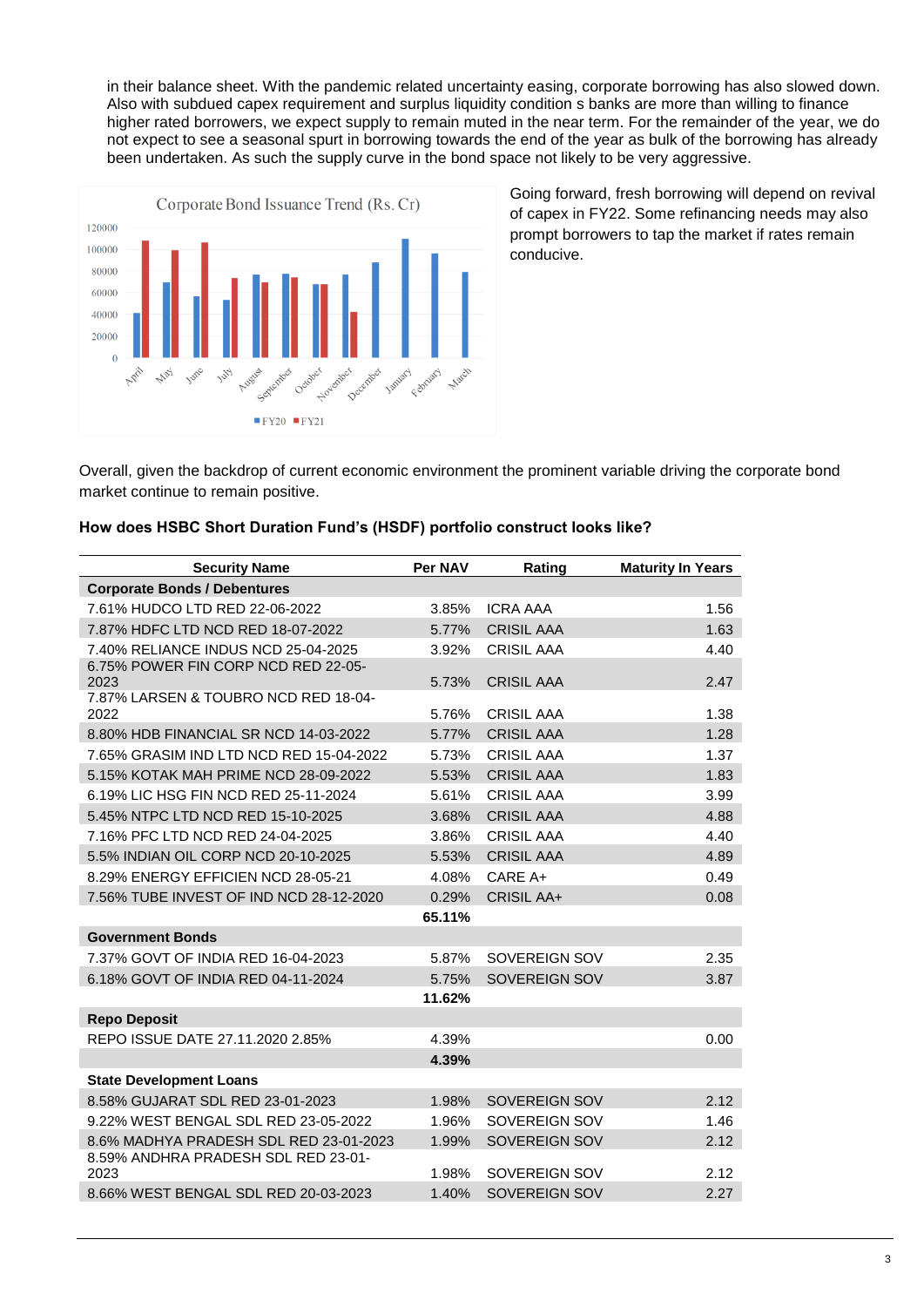in their balance sheet. With the pandemic related uncertainty easing, corporate borrowing has also slowed down. Also with subdued capex requirement and surplus liquidity condition s banks are more than willing to finance higher rated borrowers, we expect supply to remain muted in the near term. For the remainder of the year, we do not expect to see a seasonal spurt in borrowing towards the end of the year as bulk of the borrowing has already been undertaken. As such the supply curve in the bond space not likely to be very aggressive.



Going forward, fresh borrowing will depend on revival of capex in FY22. Some refinancing needs may also prompt borrowers to tap the market if rates remain conducive.

Overall, given the backdrop of current economic environment the prominent variable driving the corporate bond market continue to remain positive.

|  |  |  |  | How does HSBC Short Duration Fund's (HSDF) portfolio construct looks like? |  |
|--|--|--|--|----------------------------------------------------------------------------|--|

| <b>Security Name</b>                         | Per NAV | Rating               | <b>Maturity In Years</b> |
|----------------------------------------------|---------|----------------------|--------------------------|
| <b>Corporate Bonds / Debentures</b>          |         |                      |                          |
| 7.61% HUDCO LTD RED 22-06-2022               | 3.85%   | <b>ICRA AAA</b>      | 1.56                     |
| 7.87% HDFC LTD NCD RED 18-07-2022            | 5.77%   | <b>CRISIL AAA</b>    | 1.63                     |
| 7.40% RELIANCE INDUS NCD 25-04-2025          | 3.92%   | <b>CRISIL AAA</b>    | 4.40                     |
| 6.75% POWER FIN CORP NCD RED 22-05-          |         |                      |                          |
| 2023<br>7.87% LARSEN & TOUBRO NCD RED 18-04- | 5.73%   | <b>CRISIL AAA</b>    | 2.47                     |
| 2022                                         | 5.76%   | <b>CRISIL AAA</b>    | 1.38                     |
| 8.80% HDB FINANCIAL SR NCD 14-03-2022        | 5.77%   | <b>CRISIL AAA</b>    | 1.28                     |
| 7.65% GRASIM IND LTD NCD RED 15-04-2022      | 5.73%   | <b>CRISIL AAA</b>    | 1.37                     |
| 5.15% KOTAK MAH PRIME NCD 28-09-2022         | 5.53%   | <b>CRISIL AAA</b>    | 1.83                     |
| 6.19% LIC HSG FIN NCD RED 25-11-2024         | 5.61%   | <b>CRISIL AAA</b>    | 3.99                     |
| 5.45% NTPC LTD NCD RED 15-10-2025            | 3.68%   | <b>CRISIL AAA</b>    | 4.88                     |
| 7.16% PFC LTD NCD RED 24-04-2025             | 3.86%   | <b>CRISIL AAA</b>    | 4.40                     |
| 5.5% INDIAN OIL CORP NCD 20-10-2025          | 5.53%   | <b>CRISIL AAA</b>    | 4.89                     |
| 8.29% ENERGY EFFICIEN NCD 28-05-21           | 4.08%   | CARE A+              | 0.49                     |
| 7.56% TUBE INVEST OF IND NCD 28-12-2020      | 0.29%   | <b>CRISIL AA+</b>    | 0.08                     |
|                                              | 65.11%  |                      |                          |
| <b>Government Bonds</b>                      |         |                      |                          |
| 7.37% GOVT OF INDIA RED 16-04-2023           | 5.87%   | SOVEREIGN SOV        | 2.35                     |
| 6.18% GOVT OF INDIA RED 04-11-2024           | 5.75%   | <b>SOVEREIGN SOV</b> | 3.87                     |
|                                              | 11.62%  |                      |                          |
| <b>Repo Deposit</b>                          |         |                      |                          |
| REPO ISSUE DATE 27.11.2020 2.85%             | 4.39%   |                      | 0.00                     |
|                                              | 4.39%   |                      |                          |
| <b>State Development Loans</b>               |         |                      |                          |
| 8.58% GUJARAT SDL RED 23-01-2023             | 1.98%   | <b>SOVEREIGN SOV</b> | 2.12                     |
| 9.22% WEST BENGAL SDL RED 23-05-2022         | 1.96%   | SOVEREIGN SOV        | 1.46                     |
| 8.6% MADHYA PRADESH SDL RED 23-01-2023       | 1.99%   | SOVEREIGN SOV        | 2.12                     |
| 8.59% ANDHRA PRADESH SDL RED 23-01-<br>2023  | 1.98%   | SOVEREIGN SOV        | 2.12                     |
| 8.66% WEST BENGAL SDL RED 20-03-2023         | 1.40%   | <b>SOVEREIGN SOV</b> | 2.27                     |
|                                              |         |                      |                          |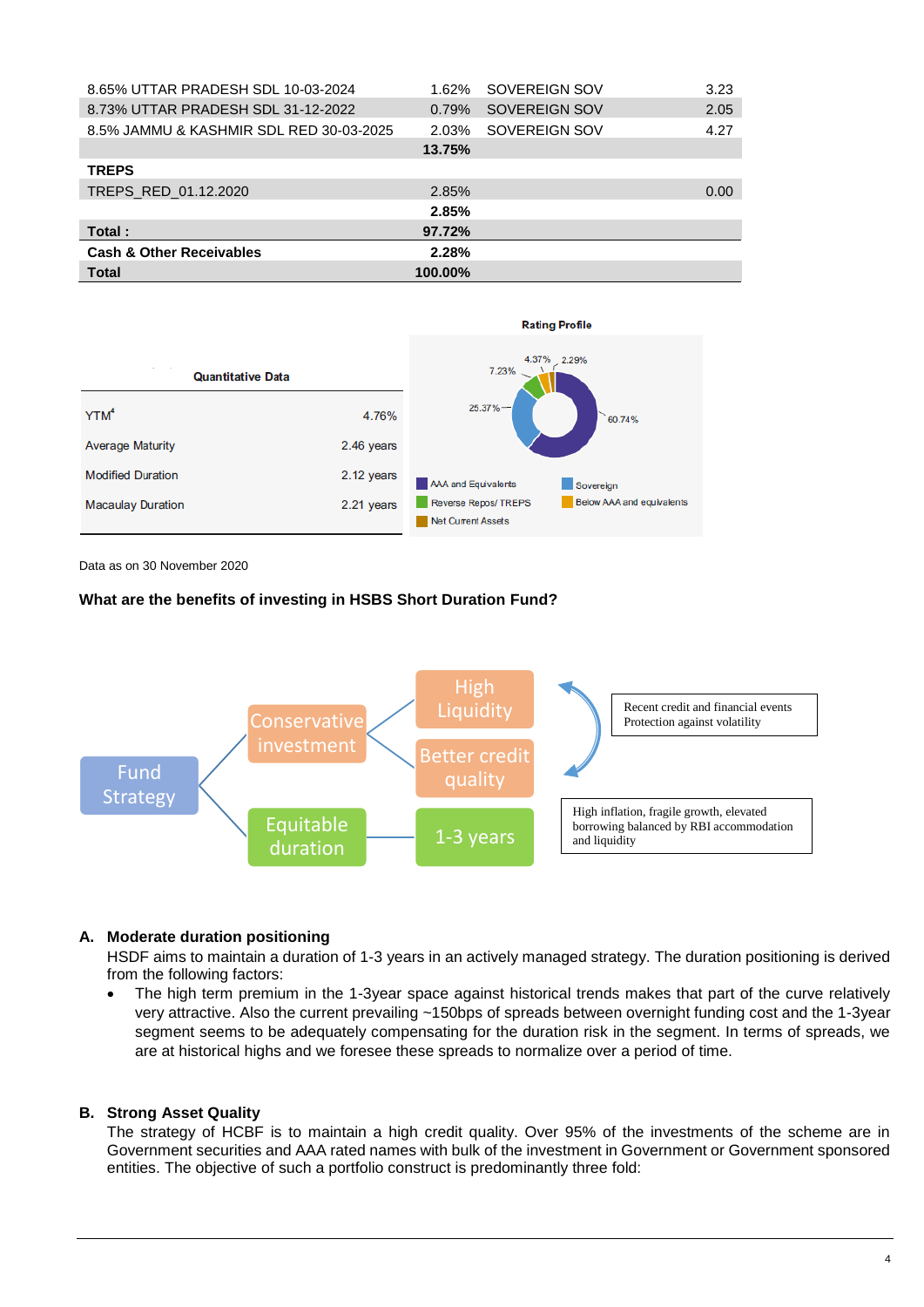| 8.65% UTTAR PRADESH SDL 10-03-2024      | 1.62%   | SOVEREIGN SOV | 3.23 |
|-----------------------------------------|---------|---------------|------|
| 8.73% UTTAR PRADESH SDL 31-12-2022      | 0.79%   | SOVEREIGN SOV | 2.05 |
| 8.5% JAMMU & KASHMIR SDL RED 30-03-2025 | 2.03%   | SOVEREIGN SOV | 4.27 |
|                                         | 13.75%  |               |      |
| <b>TREPS</b>                            |         |               |      |
| TREPS RED 01.12.2020                    | 2.85%   |               | 0.00 |
|                                         | 2.85%   |               |      |
| Total:                                  | 97.72%  |               |      |
| <b>Cash &amp; Other Receivables</b>     | 2.28%   |               |      |
| <b>Total</b>                            | 100.00% |               |      |



Data as on 30 November 2020

#### **What are the benefits of investing in HSBS Short Duration Fund?**



#### **A. Moderate duration positioning**

HSDF aims to maintain a duration of 1-3 years in an actively managed strategy. The duration positioning is derived from the following factors:

 The high term premium in the 1-3year space against historical trends makes that part of the curve relatively very attractive. Also the current prevailing ~150bps of spreads between overnight funding cost and the 1-3year segment seems to be adequately compensating for the duration risk in the segment. In terms of spreads, we are at historical highs and we foresee these spreads to normalize over a period of time.

#### **B. Strong Asset Quality**

The strategy of HCBF is to maintain a high credit quality. Over 95% of the investments of the scheme are in Government securities and AAA rated names with bulk of the investment in Government or Government sponsored entities. The objective of such a portfolio construct is predominantly three fold: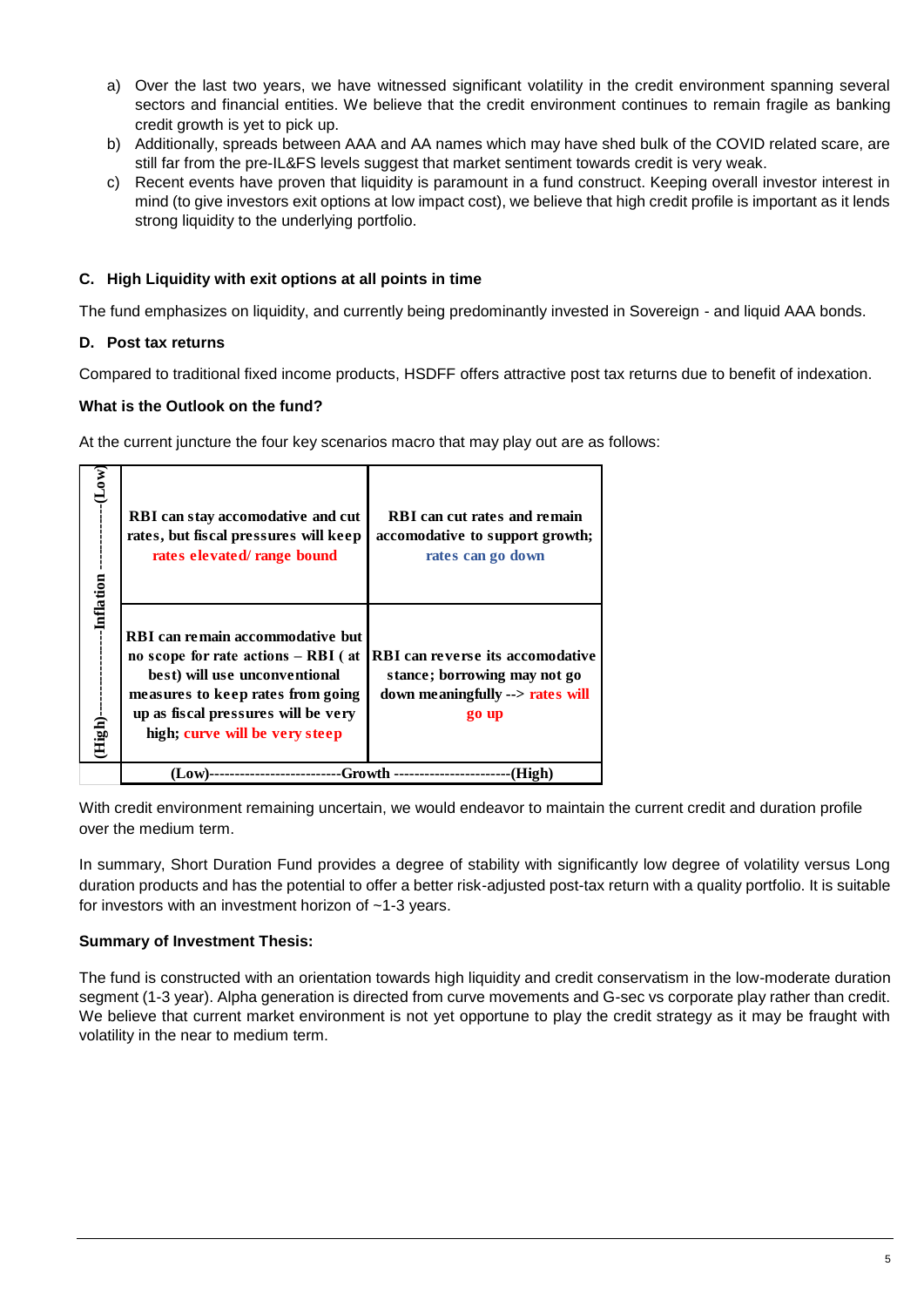- a) Over the last two years, we have witnessed significant volatility in the credit environment spanning several sectors and financial entities. We believe that the credit environment continues to remain fragile as banking credit growth is yet to pick up.
- b) Additionally, spreads between AAA and AA names which may have shed bulk of the COVID related scare, are still far from the pre-IL&FS levels suggest that market sentiment towards credit is very weak.
- c) Recent events have proven that liquidity is paramount in a fund construct. Keeping overall investor interest in mind (to give investors exit options at low impact cost), we believe that high credit profile is important as it lends strong liquidity to the underlying portfolio.

# **C. High Liquidity with exit options at all points in time**

The fund emphasizes on liquidity, and currently being predominantly invested in Sovereign - and liquid AAA bonds.

# **D. Post tax returns**

 $\overline{\phantom{a}}$ 

Compared to traditional fixed income products, HSDFF offers attractive post tax returns due to benefit of indexation.

# **What is the Outlook on the fund?**

At the current juncture the four key scenarios macro that may play out are as follows:

| $-Low$ )              | <b>RBI</b> can stay accomodative and cut<br>rates, but fiscal pressures will keep<br>rates elevated/ range bound                                                                                                         | RBI can cut rates and remain<br>accomodative to support growth;<br>rates can go down                                 |  |
|-----------------------|--------------------------------------------------------------------------------------------------------------------------------------------------------------------------------------------------------------------------|----------------------------------------------------------------------------------------------------------------------|--|
| -Inflation<br>(High)- | RBI can remain accommodative but<br>no scope for rate actions $-$ RBI (at<br>best) will use unconventional<br>measures to keep rates from going<br>up as fiscal pressures will be very<br>high; curve will be very steep | <b>RBI</b> can reverse its accomodative<br>stance; borrowing may not go<br>down meaningfully --> rates will<br>go up |  |
|                       | Growth<br>AW)<br>High                                                                                                                                                                                                    |                                                                                                                      |  |

With credit environment remaining uncertain, we would endeavor to maintain the current credit and duration profile over the medium term.

In summary, Short Duration Fund provides a degree of stability with significantly low degree of volatility versus Long duration products and has the potential to offer a better risk-adjusted post-tax return with a quality portfolio. It is suitable for investors with an investment horizon of ~1-3 years.

## **Summary of Investment Thesis:**

The fund is constructed with an orientation towards high liquidity and credit conservatism in the low-moderate duration segment (1-3 year). Alpha generation is directed from curve movements and G-sec vs corporate play rather than credit. We believe that current market environment is not yet opportune to play the credit strategy as it may be fraught with volatility in the near to medium term.